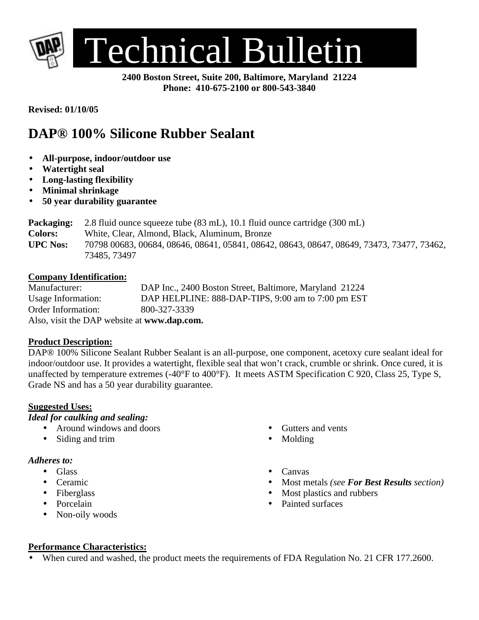

**2400 Boston Street, Suite 200, Baltimore, Maryland 21224 Phone: 410-675-2100 or 800-543-3840**

**Revised: 01/10/05**

# **DAP® 100% Silicone Rubber Sealant**

- **All-purpose, indoor/outdoor use**
- **Watertight seal**
- **Long-lasting flexibility**
- **Minimal shrinkage**
- **50 year durability guarantee**

| Packaging:      | 2.8 fluid ounce squeeze tube $(83 \text{ mL})$ , 10.1 fluid ounce cartridge $(300 \text{ mL})$ |  |  |
|-----------------|------------------------------------------------------------------------------------------------|--|--|
| <b>Colors:</b>  | White, Clear, Almond, Black, Aluminum, Bronze                                                  |  |  |
| <b>UPC Nos:</b> | 70798 00683, 00684, 08646, 08641, 05841, 08642, 08643, 08647, 08649, 73473, 73477, 73462,      |  |  |
|                 | 73485, 73497                                                                                   |  |  |

#### **Company Identification:**

| Manufacturer:                               | DAP Inc., 2400 Boston Street, Baltimore, Maryland 21224 |  |  |  |
|---------------------------------------------|---------------------------------------------------------|--|--|--|
| Usage Information:                          | DAP HELPLINE: 888-DAP-TIPS, 9:00 am to 7:00 pm EST      |  |  |  |
| Order Information:                          | 800-327-3339                                            |  |  |  |
| Also, visit the DAP website at www.dap.com. |                                                         |  |  |  |

#### **Product Description:**

DAP® 100% Silicone Sealant Rubber Sealant is an all-purpose, one component, acetoxy cure sealant ideal for indoor/outdoor use. It provides a watertight, flexible seal that won't crack, crumble or shrink. Once cured, it is unaffected by temperature extremes (-40°F to 400°F). It meets ASTM Specification C 920, Class 25, Type S, Grade NS and has a 50 year durability guarantee.

# **Suggested Uses:**

# *Ideal for caulking and sealing:*

- Around windows and doors
- Siding and trim

#### *Adheres to:*

- Glass
- Ceramic
- Fiberglass
- Porcelain
- Non-oily woods
- Gutters and vents
- Molding
- Canvas
- Most metals *(see For Best Results section)*
- Most plastics and rubbers
- Painted surfaces

# **Performance Characteristics:**

When cured and washed, the product meets the requirements of FDA Regulation No. 21 CFR 177.2600.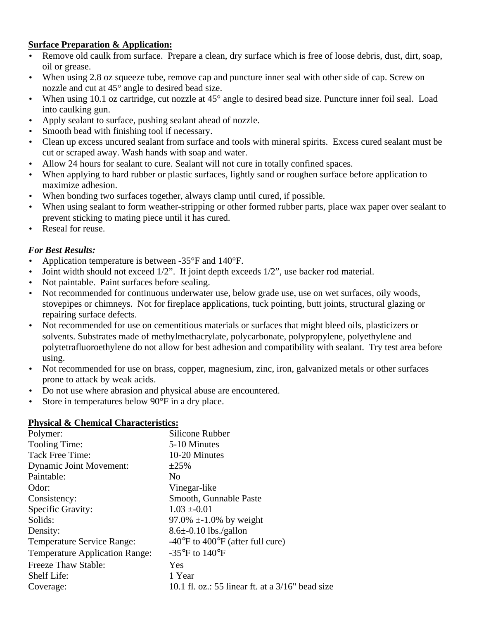# **Surface Preparation & Application:**

- Remove old caulk from surface. Prepare a clean, dry surface which is free of loose debris, dust, dirt, soap, oil or grease.
- When using 2.8 oz squeeze tube, remove cap and puncture inner seal with other side of cap. Screw on nozzle and cut at 45° angle to desired bead size.
- When using 10.1 oz cartridge, cut nozzle at 45° angle to desired bead size. Puncture inner foil seal. Load into caulking gun.
- Apply sealant to surface, pushing sealant ahead of nozzle.
- Smooth bead with finishing tool if necessary.
- Clean up excess uncured sealant from surface and tools with mineral spirits. Excess cured sealant must be cut or scraped away. Wash hands with soap and water.
- Allow 24 hours for sealant to cure. Sealant will not cure in totally confined spaces.
- When applying to hard rubber or plastic surfaces, lightly sand or roughen surface before application to maximize adhesion.
- When bonding two surfaces together, always clamp until cured, if possible.
- When using sealant to form weather-stripping or other formed rubber parts, place wax paper over sealant to prevent sticking to mating piece until it has cured.
- Reseal for reuse.

# *For Best Results:*

- Application temperature is between -35°F and 140°F.
- Joint width should not exceed 1/2". If joint depth exceeds 1/2", use backer rod material.
- Not paintable. Paint surfaces before sealing.
- Not recommended for continuous underwater use, below grade use, use on wet surfaces, oily woods, stovepipes or chimneys. Not for fireplace applications, tuck pointing, butt joints, structural glazing or repairing surface defects.
- Not recommended for use on cementitious materials or surfaces that might bleed oils, plasticizers or solvents. Substrates made of methylmethacrylate, polycarbonate, polypropylene, polyethylene and polytetrafluoroethylene do not allow for best adhesion and compatibility with sealant. Try test area before using.
- Not recommended for use on brass, copper, magnesium, zinc, iron, galvanized metals or other surfaces prone to attack by weak acids.
- Do not use where abrasion and physical abuse are encountered.
- Store in temperatures below 90°F in a dry place.

# **Physical & Chemical Characteristics:**

| Polymer:                              | Silicone Rubber                                      |
|---------------------------------------|------------------------------------------------------|
| Tooling Time:                         | 5-10 Minutes                                         |
| Tack Free Time:                       | 10-20 Minutes                                        |
| <b>Dynamic Joint Movement:</b>        | $\pm 25\%$                                           |
| Paintable:                            | N <sub>0</sub>                                       |
| Odor:                                 | Vinegar-like                                         |
| Consistency:                          | Smooth, Gunnable Paste                               |
| Specific Gravity:                     | $1.03 \pm 0.01$                                      |
| Solids:                               | 97.0% $\pm$ -1.0% by weight                          |
| Density:                              | $8.6\pm 0.10$ lbs./gallon                            |
| <b>Temperature Service Range:</b>     | $-40^{\circ}$ F to $400^{\circ}$ F (after full cure) |
| <b>Temperature Application Range:</b> | $-35^{\circ}$ F to $140^{\circ}$ F                   |
| <b>Freeze Thaw Stable:</b>            | Yes                                                  |
| Shelf Life:                           | 1 Year                                               |
| Coverage:                             | 10.1 fl. oz.: 55 linear ft. at a $3/16$ " bead size  |
|                                       |                                                      |